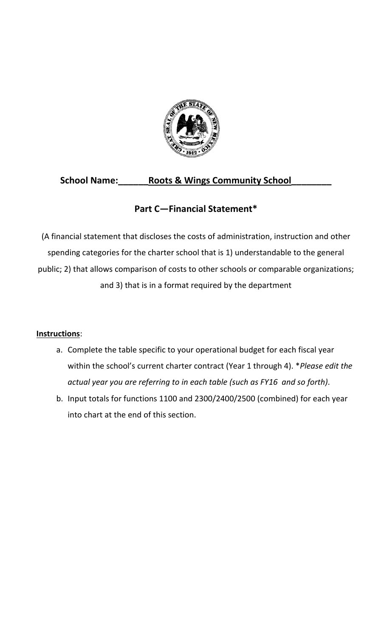

# **School Name:\_\_\_\_\_\_Roots & Wings Community School\_\_\_\_\_\_\_\_**

# **Part C—Financial Statement\***

(A financial statement that discloses the costs of administration, instruction and other spending categories for the charter school that is 1) understandable to the general public; 2) that allows comparison of costs to other schools or comparable organizations; and 3) that is in a format required by the department

### **Instructions**:

- a. Complete the table specific to your operational budget for each fiscal year within the school's current charter contract (Year 1 through 4). \**Please edit the actual year you are referring to in each table (such as FY16 and so forth)*.
- b. Input totals for functions 1100 and 2300/2400/2500 (combined) for each year into chart at the end of this section.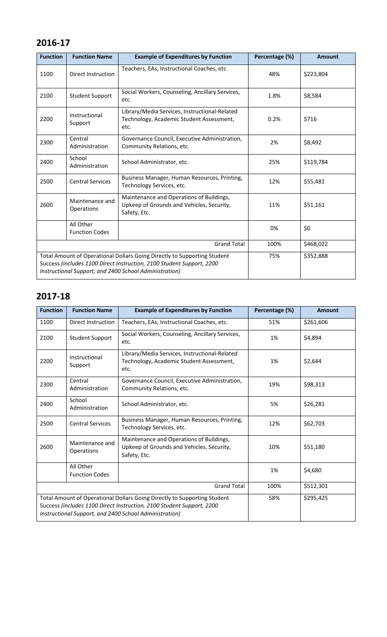# **2016-17**

| <b>Function</b>                                                                                                                                                                                             | <b>Function Name</b>                 | <b>Example of Expenditures by Function</b>                                                            | Percentage (%) | Amount    |
|-------------------------------------------------------------------------------------------------------------------------------------------------------------------------------------------------------------|--------------------------------------|-------------------------------------------------------------------------------------------------------|----------------|-----------|
| 1100                                                                                                                                                                                                        | Direct Instruction                   | Teachers, EAs, Instructional Coaches, etc.                                                            | 48%            | \$223,804 |
| 2100                                                                                                                                                                                                        | <b>Student Support</b>               | Social Workers, Counseling, Ancillary Services,<br>etc.                                               | 1.8%           | \$8,584   |
| 2200                                                                                                                                                                                                        | Instructional<br>Support             | Library/Media Services, Instructional-Related<br>Technology, Academic Student Assessment,<br>etc.     | 0.2%           | \$716     |
| 2300                                                                                                                                                                                                        | Central<br>Administration            | Governance Council, Executive Administration,<br>Community Relations, etc.                            | 2%             | \$8,492   |
| 2400                                                                                                                                                                                                        | School<br>Administration             | School Administrator, etc.                                                                            | 25%            | \$119,784 |
| 2500                                                                                                                                                                                                        | <b>Central Services</b>              | Business Manager, Human Resources, Printing,<br>Technology Services, etc.                             | 12%            | \$55,481  |
| 2600                                                                                                                                                                                                        | Maintenance and<br><b>Operations</b> | Maintenance and Operations of Buildings,<br>Upkeep of Grounds and Vehicles, Security,<br>Safety, Etc. | 11%            | \$51,161  |
|                                                                                                                                                                                                             | All Other<br><b>Function Codes</b>   |                                                                                                       | 0%             | \$0       |
| <b>Grand Total</b>                                                                                                                                                                                          |                                      |                                                                                                       | 100%           | \$468,022 |
| Total Amount of Operational Dollars Going Directly to Supporting Student<br>Success (includes 1100 Direct Instruction, 2100 Student Support, 2200<br>Instructional Support, and 2400 School Administration) |                                      |                                                                                                       | 75%            | \$352,888 |

## **2017-18**

| <b>Function</b>    | <b>Function Name</b>               | <b>Example of Expenditures by Function</b>                                                                                                                                                                  | Percentage (%) | <b>Amount</b> |
|--------------------|------------------------------------|-------------------------------------------------------------------------------------------------------------------------------------------------------------------------------------------------------------|----------------|---------------|
| 1100               | Direct Instruction                 | Teachers, EAs, Instructional Coaches, etc.                                                                                                                                                                  | 51%            | \$261,606     |
| 2100               | <b>Student Support</b>             | Social Workers, Counseling, Ancillary Services,<br>etc.                                                                                                                                                     | 1%             | \$4,894       |
| 2200               | Instructional<br>Support           | Library/Media Services, Instructional-Related<br>Technology, Academic Student Assessment,<br>etc.                                                                                                           | 1%             | \$2,644       |
| 2300               | Central<br>Administration          | Governance Council, Executive Administration,<br>Community Relations, etc.                                                                                                                                  | 19%            | \$98,313      |
| 2400               | School<br>Administration           | School Administrator, etc.                                                                                                                                                                                  | 5%             | \$26,281      |
| 2500               | <b>Central Services</b>            | Business Manager, Human Resources, Printing,<br>Technology Services, etc.                                                                                                                                   | 12%            | \$62,703      |
| 2600               | Maintenance and<br>Operations      | Maintenance and Operations of Buildings,<br>Upkeep of Grounds and Vehicles, Security,<br>Safety, Etc.                                                                                                       | 10%            | \$51,180      |
|                    | All Other<br><b>Function Codes</b> |                                                                                                                                                                                                             | 1%             | \$4,680       |
| <b>Grand Total</b> |                                    |                                                                                                                                                                                                             | 100%           | \$512,301     |
|                    |                                    | Total Amount of Operational Dollars Going Directly to Supporting Student<br>Success (includes 1100 Direct Instruction, 2100 Student Support, 2200<br>Instructional Support, and 2400 School Administration) | 58%            | \$295,425     |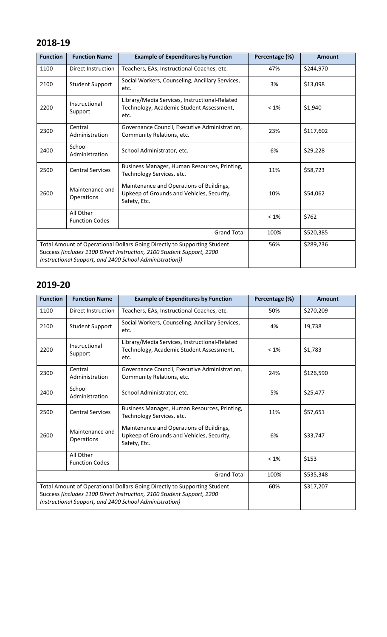## **2018-19**

| <b>Function</b>                                                                                                                                                                                              | <b>Function Name</b>               | <b>Example of Expenditures by Function</b>                                                            | Percentage (%) | <b>Amount</b> |
|--------------------------------------------------------------------------------------------------------------------------------------------------------------------------------------------------------------|------------------------------------|-------------------------------------------------------------------------------------------------------|----------------|---------------|
| 1100                                                                                                                                                                                                         | <b>Direct Instruction</b>          | Teachers, EAs, Instructional Coaches, etc.                                                            | 47%            | \$244,970     |
| 2100                                                                                                                                                                                                         | <b>Student Support</b>             | Social Workers, Counseling, Ancillary Services,<br>etc.                                               | 3%             | \$13,098      |
| 2200                                                                                                                                                                                                         | Instructional<br>Support           | Library/Media Services, Instructional-Related<br>Technology, Academic Student Assessment,<br>etc.     | $< 1\%$        | \$1,940       |
| 2300                                                                                                                                                                                                         | Central<br>Administration          | Governance Council, Executive Administration,<br>Community Relations, etc.                            | 23%            | \$117,602     |
| 2400                                                                                                                                                                                                         | School<br>Administration           | School Administrator, etc.                                                                            | 6%             | \$29,228      |
| 2500                                                                                                                                                                                                         | <b>Central Services</b>            | Business Manager, Human Resources, Printing,<br>Technology Services, etc.                             | 11%            | \$58,723      |
| 2600                                                                                                                                                                                                         | Maintenance and<br>Operations      | Maintenance and Operations of Buildings,<br>Upkeep of Grounds and Vehicles, Security,<br>Safety, Etc. | 10%            | \$54,062      |
|                                                                                                                                                                                                              | All Other<br><b>Function Codes</b> |                                                                                                       | $< 1\%$        | \$762         |
| <b>Grand Total</b>                                                                                                                                                                                           |                                    |                                                                                                       | 100%           | \$520,385     |
| Total Amount of Operational Dollars Going Directly to Supporting Student<br>Success (includes 1100 Direct Instruction, 2100 Student Support, 2200<br>Instructional Support, and 2400 School Administration)) |                                    |                                                                                                       | 56%            | \$289,236     |

# **2019-20**

| <b>Function</b>                                                                                                                                                                                             | <b>Function Name</b>               | <b>Example of Expenditures by Function</b>                                                            | Percentage (%) | <b>Amount</b> |
|-------------------------------------------------------------------------------------------------------------------------------------------------------------------------------------------------------------|------------------------------------|-------------------------------------------------------------------------------------------------------|----------------|---------------|
| 1100                                                                                                                                                                                                        | <b>Direct Instruction</b>          | Teachers, EAs, Instructional Coaches, etc.                                                            | 50%            | \$270,209     |
| 2100                                                                                                                                                                                                        | <b>Student Support</b>             | Social Workers, Counseling, Ancillary Services,<br>etc.                                               | 4%             | 19,738        |
| 2200                                                                                                                                                                                                        | Instructional<br>Support           | Library/Media Services, Instructional-Related<br>Technology, Academic Student Assessment,<br>etc.     | $< 1\%$        | \$1,783       |
| 2300                                                                                                                                                                                                        | Central<br>Administration          | Governance Council, Executive Administration,<br>Community Relations, etc.                            | 24%            | \$126,590     |
| 2400                                                                                                                                                                                                        | School<br>Administration           | School Administrator, etc.                                                                            | 5%             | \$25,477      |
| 2500                                                                                                                                                                                                        | <b>Central Services</b>            | Business Manager, Human Resources, Printing,<br>Technology Services, etc.                             | 11%            | \$57,651      |
| 2600                                                                                                                                                                                                        | Maintenance and<br>Operations      | Maintenance and Operations of Buildings,<br>Upkeep of Grounds and Vehicles, Security,<br>Safety, Etc. | 6%             | \$33,747      |
|                                                                                                                                                                                                             | All Other<br><b>Function Codes</b> |                                                                                                       | $< 1\%$        | \$153         |
| <b>Grand Total</b>                                                                                                                                                                                          |                                    |                                                                                                       | 100%           | \$535,348     |
| Total Amount of Operational Dollars Going Directly to Supporting Student<br>Success (includes 1100 Direct Instruction, 2100 Student Support, 2200<br>Instructional Support, and 2400 School Administration) |                                    |                                                                                                       | 60%            | \$317,207     |